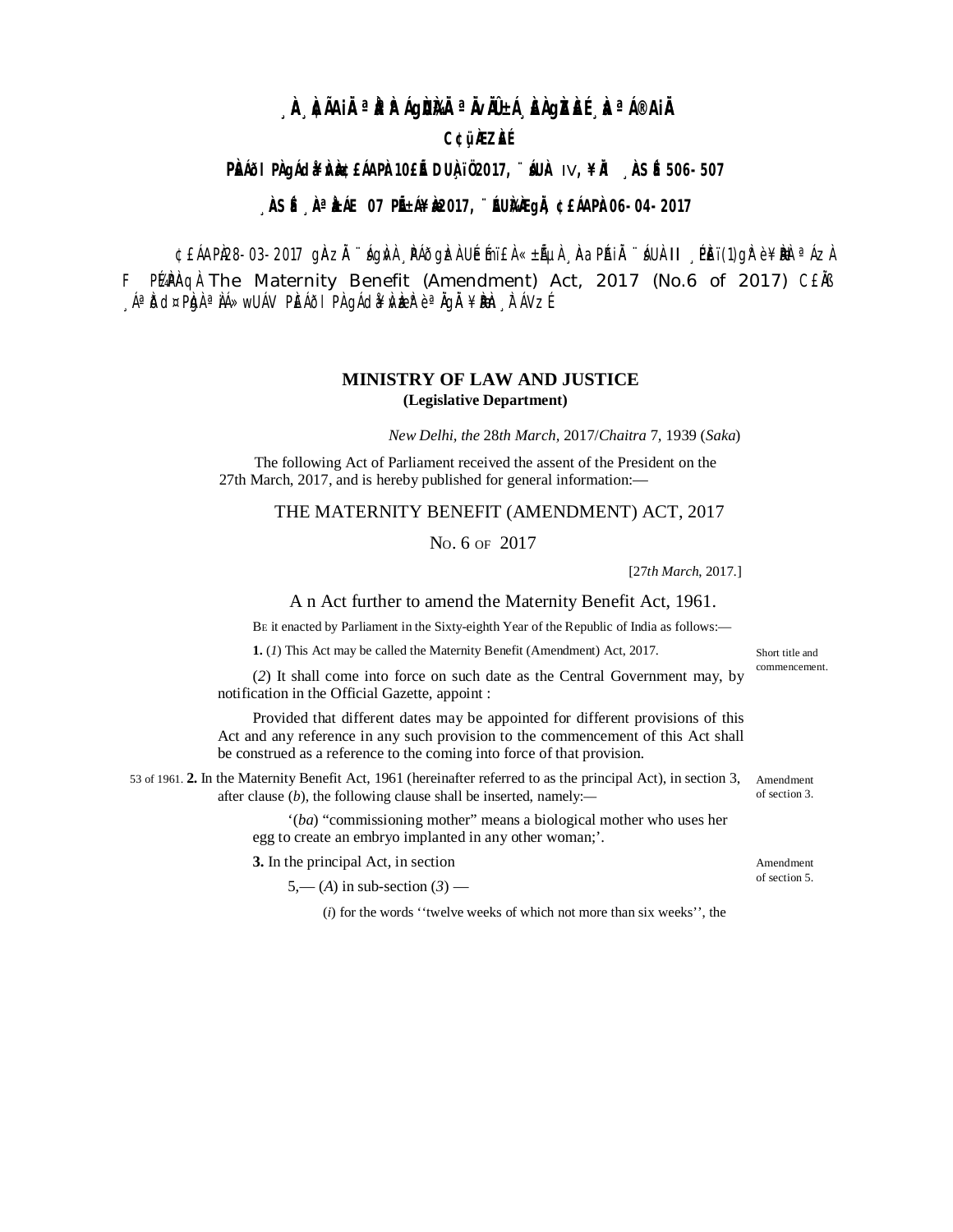# **À ÀIAIRª RAIGUNRª RIBLI AGASA Aª I®AIR**

## **C¢üÀZÀÉ**

### PÈNIO I PÀ DIA LA PÀNDE LA PÀNDE LE DUÀ 102017, "IN À IV, ¥IÀ NSÉ 506-507

#### **, ÀSÉ , À LALE 07 PIEA¥ À2017, "EU)ÀA QIA ¢EÁAPÀ 06-04-2017**

¢£ÁAPL28-03-2017 ginzi "ágivi páðgizi Uémi£i «±áµi napái "áui II peï(1)gi e¥bi a ázi F PuPAQ The Maternity Benefit (Amendment) Act, 2017 (No.6 of 2017) CENS ,ÁªĎd¤PhjÀªÌÁ≫wUÁV PIEÁÕI PI\gÁd¥ŴbaB`èªÄgÄ ¥Bbh, ITÁVZÉ

#### **MINISTRY OF LAW AND JUSTICE** (Legislative Department)

New Delhi, the 28th March, 2017/Chaitra 7, 1939 (Saka)

The following Act of Parliament received the assent of the President on the 27th March, 2017, and is hereby published for general information:-

#### THE MATERNITY BENEFIT (AMENDMENT) ACT, 2017

No. 6 OF 2017

 $[27th March, 2017.]$ 

#### A n Act further to amend the Maternity Benefit Act, 1961.

BE it enacted by Parliament in the Sixty-eighth Year of the Republic of India as follows:-

1. (1) This Act may be called the Maternity Benefit (Amendment) Act, 2017.

(2) It shall come into force on such date as the Central Government may, by notification in the Official Gazette, appoint :

Provided that different dates may be appointed for different provisions of this Act and any reference in any such provision to the commencement of this Act shall be construed as a reference to the coming into force of that provision.

53 of 1961. 2. In the Maternity Benefit Act, 1961 (hereinafter referred to as the principal Act), in section 3, Amendment after clause  $(b)$ , the following clause shall be inserted, namely:-

> "(ba) "commissioning mother" means a biological mother who uses her egg to create an embryo implanted in any other woman;'.

3. In the principal Act, in section

 $5,-(A)$  in sub-section  $(3)$  —

(i) for the words "twelve weeks of which not more than six weeks", the

Short title and commencement.

of section 3

Amendment of section 5.